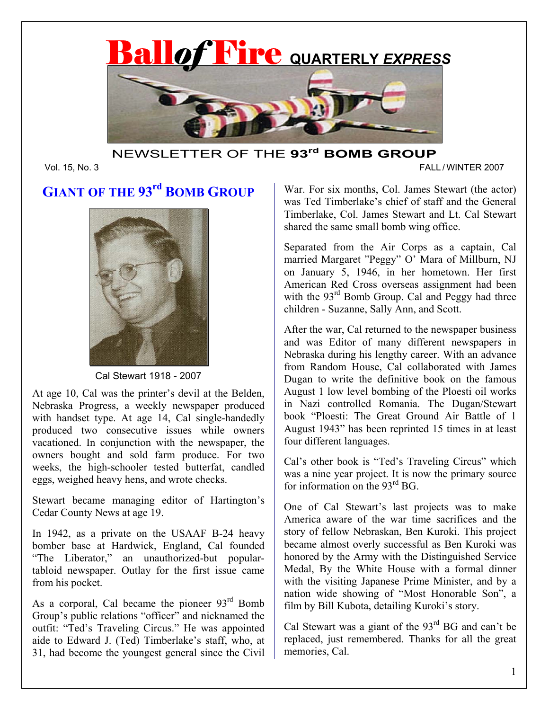

## NEWSLETTER OF THE **93rd BOMB GROUP**

#### Vol. 15, No. 3 FALL / WINTER 2007

# **GIANT OF THE 93rd BOMB GROUP**



Cal Stewart 1918 - 2007

At age 10, Cal was the printer's devil at the Belden, Nebraska Progress, a weekly newspaper produced with handset type. At age 14, Cal single-handedly produced two consecutive issues while owners vacationed. In conjunction with the newspaper, the owners bought and sold farm produce. For two weeks, the high-schooler tested butterfat, candled eggs, weighed heavy hens, and wrote checks.

Stewart became managing editor of Hartington's Cedar County News at age 19.

In 1942, as a private on the USAAF B-24 heavy bomber base at Hardwick, England, Cal founded "The Liberator," an unauthorized-but populartabloid newspaper. Outlay for the first issue came from his pocket.

As a corporal, Cal became the pioneer 93<sup>rd</sup> Bomb Group's public relations "officer" and nicknamed the outfit: "Ted's Traveling Circus." He was appointed aide to Edward J. (Ted) Timberlake's staff, who, at 31, had become the youngest general since the Civil

War. For six months, Col. James Stewart (the actor) was Ted Timberlake's chief of staff and the General Timberlake, Col. James Stewart and Lt. Cal Stewart shared the same small bomb wing office.

Separated from the Air Corps as a captain, Cal married Margaret "Peggy" O' Mara of Millburn, NJ on January 5, 1946, in her hometown. Her first American Red Cross overseas assignment had been with the  $93<sup>rd</sup>$  Bomb Group. Cal and Peggy had three children - Suzanne, Sally Ann, and Scott.

After the war, Cal returned to the newspaper business and was Editor of many different newspapers in Nebraska during his lengthy career. With an advance from Random House, Cal collaborated with James Dugan to write the definitive book on the famous August 1 low level bombing of the Ploesti oil works in Nazi controlled Romania. The Dugan/Stewart book "Ploesti: The Great Ground Air Battle of 1 August 1943" has been reprinted 15 times in at least four different languages.

Cal's other book is "Ted's Traveling Circus" which was a nine year project. It is now the primary source for information on the 93rd BG.

One of Cal Stewart's last projects was to make America aware of the war time sacrifices and the story of fellow Nebraskan, Ben Kuroki. This project became almost overly successful as Ben Kuroki was honored by the Army with the Distinguished Service Medal, By the White House with a formal dinner with the visiting Japanese Prime Minister, and by a nation wide showing of "Most Honorable Son", a film by Bill Kubota, detailing Kuroki's story.

Cal Stewart was a giant of the 93rd BG and can't be replaced, just remembered. Thanks for all the great memories, Cal.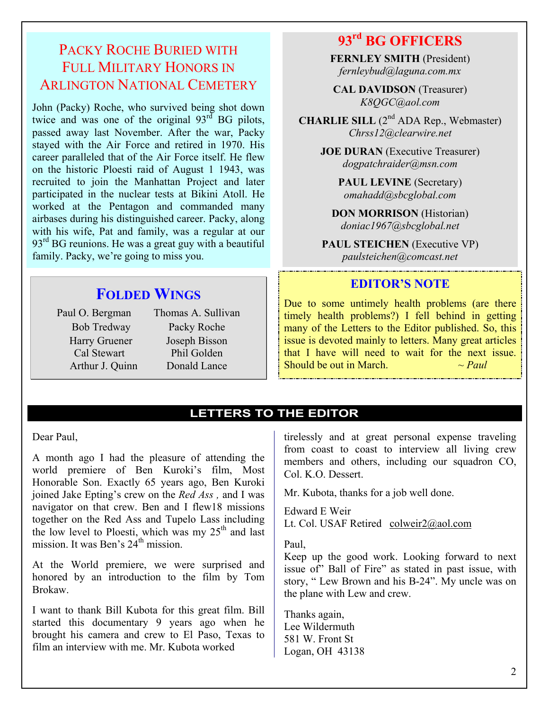## PACKY ROCHE BURIED WITH FULL MILITARY HONORS IN ARLINGTON NATIONAL CEMETERY

John (Packy) Roche, who survived being shot down twice and was one of the original  $93<sup>rd</sup>$  BG pilots, passed away last November. After the war, Packy stayed with the Air Force and retired in 1970. His career paralleled that of the Air Force itself. He flew on the historic Ploesti raid of August 1 1943, was recruited to join the Manhattan Project and later participated in the nuclear tests at Bikini Atoll. He worked at the Pentagon and commanded many airbases during his distinguished career. Packy, along with his wife, Pat and family, was a regular at our  $93<sup>rd</sup>$  BG reunions. He was a great guy with a beautiful family. Packy, we're going to miss you.

**FOLDED WINGS**

Paul O. Bergman Thomas A. Sullivan Bob Tredway Packy Roche Harry Gruener Joseph Bisson Cal Stewart Phil Golden Arthur J. Quinn Donald Lance

## **93rd BG OFFICERS**

**FERNLEY SMITH** (President) *fernleybud@laguna.com.mx* 

**CAL DAVIDSON** (Treasurer) *K8QGC@aol.com* 

**CHARLIE SILL** (2<sup>nd</sup> ADA Rep., Webmaster) *Chrss12@clearwire.net* 

> **JOE DURAN** (Executive Treasurer) *dogpatchraider@msn.com*

> > **PAUL LEVINE** (Secretary) *omahadd@sbcglobal.com*

**DON MORRISON** (Historian) *doniac1967@sbcglobal.net* 

**PAUL STEICHEN** (Executive VP) *paulsteichen@comcast.net* 

## **EDITOR'S NOTE**

Due to some untimely health problems (are there timely health problems?) I fell behind in getting many of the Letters to the Editor published. So, this issue is devoted mainly to letters. Many great articles that I have will need to wait for the next issue. Should be out in March.  $\sim$  *Paul* 

## **LETTERS TO THE EDITOR**

Dear Paul,

A month ago I had the pleasure of attending the world premiere of Ben Kuroki's film, Most Honorable Son. Exactly 65 years ago, Ben Kuroki joined Jake Epting's crew on the *Red Ass ,* and I was navigator on that crew. Ben and I flew18 missions together on the Red Ass and Tupelo Lass including the low level to Ploesti, which was my  $25<sup>th</sup>$  and last mission. It was Ben's  $24<sup>th</sup>$  mission.

At the World premiere, we were surprised and honored by an introduction to the film by Tom Brokaw.

I want to thank Bill Kubota for this great film. Bill started this documentary 9 years ago when he brought his camera and crew to El Paso, Texas to film an interview with me. Mr. Kubota worked

tirelessly and at great personal expense traveling from coast to coast to interview all living crew members and others, including our squadron CO, Col. K.O. Dessert.

Mr. Kubota, thanks for a job well done.

Edward E Weir Lt. Col. USAF Retired colweir2@aol.com

Paul,

Keep up the good work. Looking forward to next issue of" Ball of Fire" as stated in past issue, with story, " Lew Brown and his B-24". My uncle was on the plane with Lew and crew.

Thanks again, Lee Wildermuth 581 W. Front St Logan, OH 43138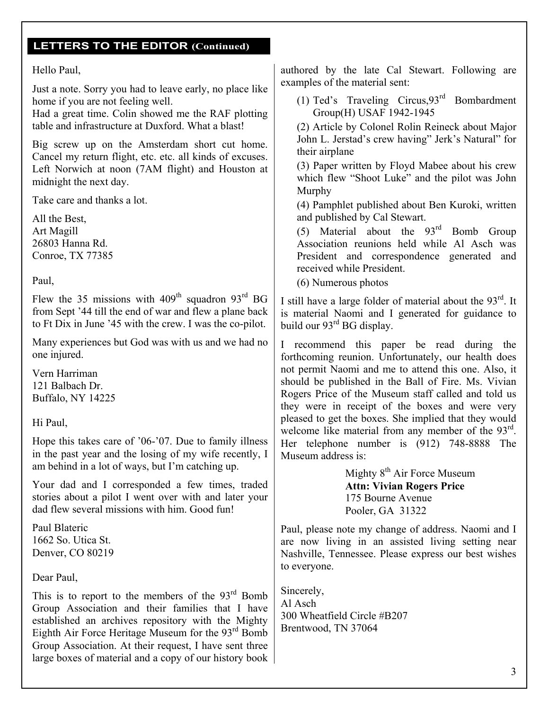## **LETTERS TO THE EDITOR (Continued)**

#### Hello Paul,

Just a note. Sorry you had to leave early, no place like home if you are not feeling well.

Had a great time. Colin showed me the RAF plotting table and infrastructure at Duxford. What a blast!

Big screw up on the Amsterdam short cut home. Cancel my return flight, etc. etc. all kinds of excuses. Left Norwich at noon (7AM flight) and Houston at midnight the next day.

Take care and thanks a lot.

All the Best, Art Magill 26803 Hanna Rd. Conroe, TX 77385

Paul,

Flew the 35 missions with  $409<sup>th</sup>$  squadron  $93<sup>rd</sup>$  BG from Sept '44 till the end of war and flew a plane back to Ft Dix in June '45 with the crew. I was the co-pilot. j

Many experiences but God was with us and we had no one injured.

Vern Harriman 121 Balbach Dr. Buffalo, NY 14225

Hi Paul,

Hope this takes care of '06-'07. Due to family illness in the past year and the losing of my wife recently, I am behind in a lot of ways, but I'm catching up.

Your dad and I corresponded a few times, traded stories about a pilot I went over with and later your dad flew several missions with him. Good fun!

Paul Blateric 1662 So. Utica St. Denver, CO 80219

Dear Paul,

This is to report to the members of the  $93<sup>rd</sup>$  Bomb Group Association and their families that I have established an archives repository with the Mighty Eighth Air Force Heritage Museum for the  $93<sup>rd</sup>$  Bomb Group Association. At their request, I have sent three large boxes of material and a copy of our history book authored by the late Cal Stewart. Following are examples of the material sent:

(1) Ted's Traveling Circus,93rd Bombardment Group(H) USAF 1942-1945

(2) Article by Colonel Rolin Reineck about Major John L. Jerstad's crew having" Jerk's Natural" for their airplane

(3) Paper written by Floyd Mabee about his crew which flew "Shoot Luke" and the pilot was John Murphy

(4) Pamphlet published about Ben Kuroki, written and published by Cal Stewart.

(5) Material about the  $93<sup>rd</sup>$  Bomb Group Association reunions held while Al Asch was President and correspondence generated and received while President.

(6) Numerous photos

I still have a large folder of material about the  $93<sup>rd</sup>$ . It is material Naomi and I generated for guidance to build our 93<sup>rd</sup> BG display.

I recommend this paper be read during the forthcoming reunion. Unfortunately, our health does not permit Naomi and me to attend this one. Also, it should be published in the Ball of Fire. Ms. Vivian Rogers Price of the Museum staff called and told us they were in receipt of the boxes and were very pleased to get the boxes. She implied that they would welcome like material from any member of the 93<sup>rd</sup>. Her telephone number is (912) 748-8888 The Museum address is:

> Mighty 8<sup>th</sup> Air Force Museum **Attn: Vivian Rogers Price**  175 Bourne Avenue Pooler, GA 31322

Paul, please note my change of address. Naomi and I are now living in an assisted living setting near Nashville, Tennessee. Please express our best wishes to everyone.

Sincerely, Al Asch 300 Wheatfield Circle #B207 Brentwood, TN 37064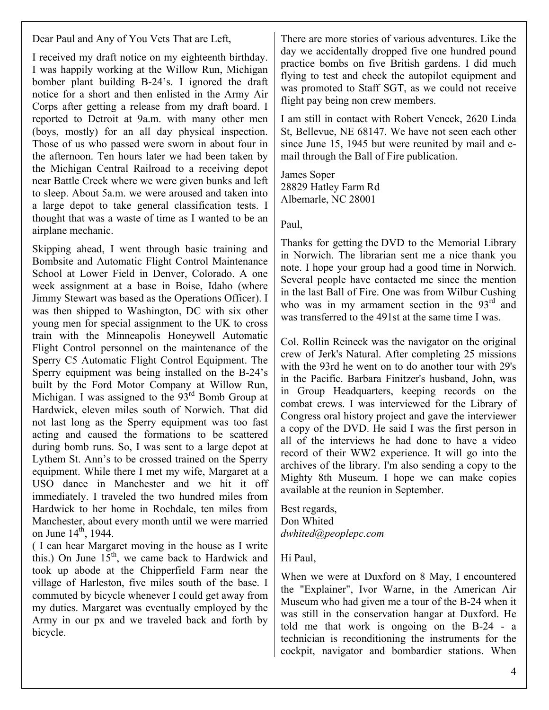Dear Paul and Any of You Vets That are Left,

I received my draft notice on my eighteenth birthday. I was happily working at the Willow Run, Michigan bomber plant building B-24's. I ignored the draft notice for a short and then enlisted in the Army Air Corps after getting a release from my draft board. I reported to Detroit at 9a.m. with many other men (boys, mostly) for an all day physical inspection. Those of us who passed were sworn in about four in the afternoon. Ten hours later we had been taken by the Michigan Central Railroad to a receiving depot near Battle Creek where we were given bunks and left to sleep. About 5a.m. we were aroused and taken into a large depot to take general classification tests. I thought that was a waste of time as I wanted to be an airplane mechanic.

Skipping ahead, I went through basic training and Bombsite and Automatic Flight Control Maintenance School at Lower Field in Denver, Colorado. A one week assignment at a base in Boise, Idaho (where Jimmy Stewart was based as the Operations Officer). I was then shipped to Washington, DC with six other young men for special assignment to the UK to cross train with the Minneapolis Honeywell Automatic Flight Control personnel on the maintenance of the Sperry C5 Automatic Flight Control Equipment. The Sperry equipment was being installed on the B-24's built by the Ford Motor Company at Willow Run, Michigan. I was assigned to the 93<sup>rd</sup> Bomb Group at Hardwick, eleven miles south of Norwich. That did not last long as the Sperry equipment was too fast acting and caused the formations to be scattered during bomb runs. So, I was sent to a large depot at Lythem St. Ann's to be crossed trained on the Sperry equipment. While there I met my wife, Margaret at a USO dance in Manchester and we hit it off immediately. I traveled the two hundred miles from Hardwick to her home in Rochdale, ten miles from Manchester, about every month until we were married on June  $14^{th}$ , 1944.

( I can hear Margaret moving in the house as I write this.) On June  $15<sup>th</sup>$ , we came back to Hardwick and took up abode at the Chipperfield Farm near the village of Harleston, five miles south of the base. I commuted by bicycle whenever I could get away from my duties. Margaret was eventually employed by the Army in our px and we traveled back and forth by bicycle.

There are more stories of various adventures. Like the day we accidentally dropped five one hundred pound practice bombs on five British gardens. I did much flying to test and check the autopilot equipment and was promoted to Staff SGT, as we could not receive flight pay being non crew members.

I am still in contact with Robert Veneck, 2620 Linda St, Bellevue, NE 68147. We have not seen each other since June 15, 1945 but were reunited by mail and email through the Ball of Fire publication.

James Soper 28829 Hatley Farm Rd Albemarle, NC 28001

Paul,

Thanks for getting the DVD to the Memorial Library in Norwich. The librarian sent me a nice thank you note. I hope your group had a good time in Norwich. Several people have contacted me since the mention in the last Ball of Fire. One was from Wilbur Cushing who was in my armament section in the  $93<sup>rd</sup>$  and was transferred to the 491st at the same time I was.

Col. Rollin Reineck was the navigator on the original crew of Jerk's Natural. After completing 25 missions with the 93rd he went on to do another tour with 29's in the Pacific. Barbara Finitzer's husband, John, was in Group Headquarters, keeping records on the combat crews. I was interviewed for the Library of Congress oral history project and gave the interviewer a copy of the DVD. He said I was the first person in all of the interviews he had done to have a video record of their WW2 experience. It will go into the archives of the library. I'm also sending a copy to the Mighty 8th Museum. I hope we can make copies available at the reunion in September.

Best regards, Don Whited *dwhited@peoplepc.com* 

## Hi Paul,

When we were at Duxford on 8 May, I encountered the "Explainer", Ivor Warne, in the American Air Museum who had given me a tour of the B-24 when it was still in the conservation hangar at Duxford. He told me that work is ongoing on the B-24 - a technician is reconditioning the instruments for the cockpit, navigator and bombardier stations. When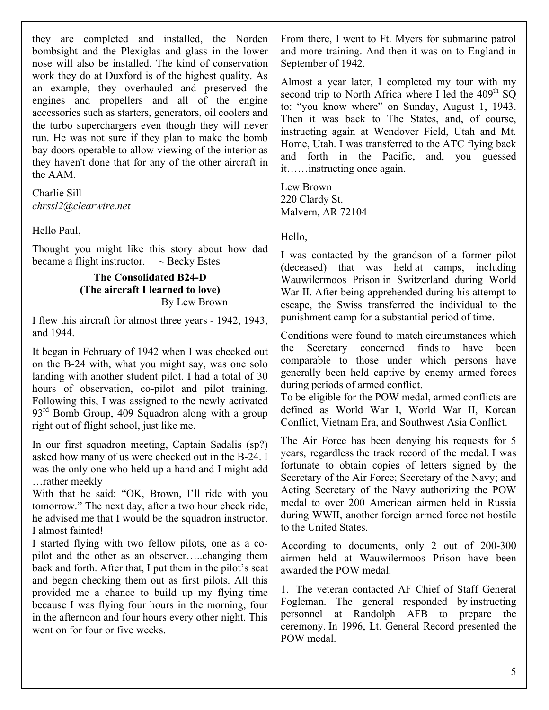they are completed and installed, the Norden bombsight and the Plexiglas and glass in the lower nose will also be installed. The kind of conservation work they do at Duxford is of the highest quality. As an example, they overhauled and preserved the engines and propellers and all of the engine accessories such as starters, generators, oil coolers and the turbo superchargers even though they will never run. He was not sure if they plan to make the bomb bay doors operable to allow viewing of the interior as they haven't done that for any of the other aircraft in the AAM.

Charlie Sill *chrssl2@clearwire.net* 

Hello Paul,

Thought you might like this story about how dad became a flight instructor.  $\sim$  Becky Estes

#### **The Consolidated B24-D (The aircraft I learned to love)**  By Lew Brown

I flew this aircraft for almost three years - 1942, 1943, and 1944.

It began in February of 1942 when I was checked out on the B-24 with, what you might say, was one solo landing with another student pilot. I had a total of 30 hours of observation, co-pilot and pilot training. Following this, I was assigned to the newly activated  $93<sup>rd</sup>$  Bomb Group, 409 Squadron along with a group right out of flight school, just like me.

In our first squadron meeting, Captain Sadalis (sp?) asked how many of us were checked out in the B-24. I was the only one who held up a hand and I might add …rather meekly

With that he said: "OK, Brown, I'll ride with you tomorrow." The next day, after a two hour check ride, he advised me that I would be the squadron instructor. I almost fainted!

I started flying with two fellow pilots, one as a copilot and the other as an observer…..changing them back and forth. After that, I put them in the pilot's seat and began checking them out as first pilots. All this provided me a chance to build up my flying time because I was flying four hours in the morning, four in the afternoon and four hours every other night. This went on for four or five weeks.

From there, I went to Ft. Myers for submarine patrol and more training. And then it was on to England in September of 1942.

Almost a year later, I completed my tour with my second trip to North Africa where I led the  $409<sup>th</sup>$  SO to: "you know where" on Sunday, August 1, 1943. Then it was back to The States, and, of course, instructing again at Wendover Field, Utah and Mt. Home, Utah. I was transferred to the ATC flying back and forth in the Pacific, and, you guessed it……instructing once again.

Lew Brown 220 Clardy St. Malvern, AR 72104

Hello,

I was contacted by the grandson of a former pilot (deceased) that was held at camps, including Wauwilermoos Prison in Switzerland during World War II. After being apprehended during his attempt to escape, the Swiss transferred the individual to the punishment camp for a substantial period of time.

Conditions were found to match circumstances which the Secretary concerned finds to have been comparable to those under which persons have generally been held captive by enemy armed forces during periods of armed conflict.

To be eligible for the POW medal, armed conflicts are defined as World War I, World War II, Korean Conflict, Vietnam Era, and Southwest Asia Conflict.

The Air Force has been denying his requests for 5 years, regardless the track record of the medal. I was fortunate to obtain copies of letters signed by the Secretary of the Air Force; Secretary of the Navy; and Acting Secretary of the Navy authorizing the POW medal to over 200 American airmen held in Russia during WWII, another foreign armed force not hostile to the United States.

According to documents, only 2 out of 200-300 airmen held at Wauwilermoos Prison have been awarded the POW medal.

1. The veteran contacted AF Chief of Staff General Fogleman. The general responded by instructing personnel at Randolph AFB to prepare the ceremony. In 1996, Lt. General Record presented the POW medal.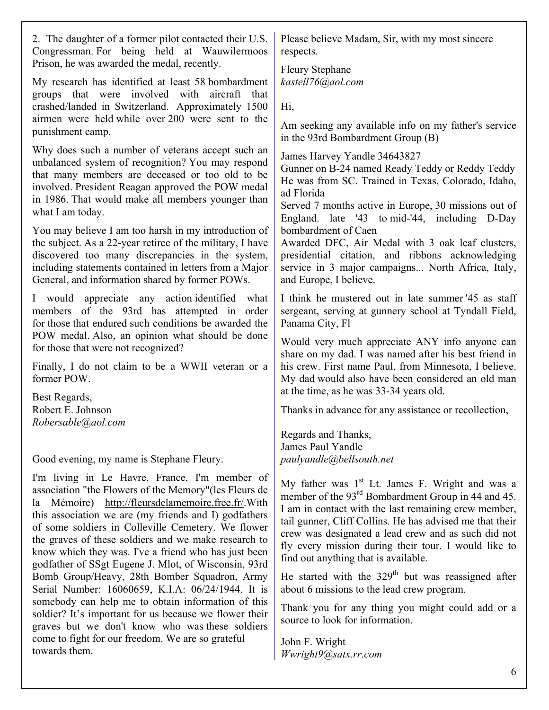| 2. The daughter of a former pilot contacted their U.S.<br>Congressman. For being held at Wauwilermoos<br>Prison, he was awarded the medal, recently.                                                                                                                                                                                                                                                                                                 | Please believe Madam, Sir, with my most sincere<br>respects.                                                                                                                                                                                                                                                                                                                                             |  |  |  |
|------------------------------------------------------------------------------------------------------------------------------------------------------------------------------------------------------------------------------------------------------------------------------------------------------------------------------------------------------------------------------------------------------------------------------------------------------|----------------------------------------------------------------------------------------------------------------------------------------------------------------------------------------------------------------------------------------------------------------------------------------------------------------------------------------------------------------------------------------------------------|--|--|--|
| My research has identified at least 58 bombardment<br>groups that were involved with aircraft that                                                                                                                                                                                                                                                                                                                                                   | <b>Fleury Stephane</b><br>kastell76@aol.com                                                                                                                                                                                                                                                                                                                                                              |  |  |  |
| crashed/landed in Switzerland. Approximately 1500                                                                                                                                                                                                                                                                                                                                                                                                    | Hi,                                                                                                                                                                                                                                                                                                                                                                                                      |  |  |  |
| airmen were held while over 200 were sent to the<br>punishment camp.                                                                                                                                                                                                                                                                                                                                                                                 | Am seeking any available info on my father's service<br>in the 93rd Bombardment Group (B)                                                                                                                                                                                                                                                                                                                |  |  |  |
| Why does such a number of veterans accept such an<br>unbalanced system of recognition? You may respond<br>that many members are deceased or too old to be<br>involved. President Reagan approved the POW medal<br>in 1986. That would make all members younger than<br>what I am today.                                                                                                                                                              | James Harvey Yandle 34643827<br>Gunner on B-24 named Ready Teddy or Reddy Teddy<br>He was from SC. Trained in Texas, Colorado, Idaho,<br>ad Florida<br>Served 7 months active in Europe, 30 missions out of<br>England. late '43 to mid-'44, including D-Day                                                                                                                                             |  |  |  |
| You may believe I am too harsh in my introduction of<br>the subject. As a 22-year retiree of the military, I have<br>discovered too many discrepancies in the system,<br>including statements contained in letters from a Major<br>General, and information shared by former POWs.                                                                                                                                                                   | bombardment of Caen<br>Awarded DFC, Air Medal with 3 oak leaf clusters,<br>presidential citation, and ribbons acknowledging<br>service in 3 major campaigns North Africa, Italy,<br>and Europe, I believe.                                                                                                                                                                                               |  |  |  |
| I would appreciate any action identified what<br>members of the 93rd has attempted in order<br>for those that endured such conditions be awarded the                                                                                                                                                                                                                                                                                                 | I think he mustered out in late summer '45 as staff<br>sergeant, serving at gunnery school at Tyndall Field,<br>Panama City, Fl                                                                                                                                                                                                                                                                          |  |  |  |
| POW medal. Also, an opinion what should be done<br>for those that were not recognized?                                                                                                                                                                                                                                                                                                                                                               | Would very much appreciate ANY info anyone can<br>share on my dad. I was named after his best friend in<br>his crew. First name Paul, from Minnesota, I believe.<br>My dad would also have been considered an old man<br>at the time, as he was 33-34 years old.                                                                                                                                         |  |  |  |
| Finally, I do not claim to be a WWII veteran or a<br>former POW.                                                                                                                                                                                                                                                                                                                                                                                     |                                                                                                                                                                                                                                                                                                                                                                                                          |  |  |  |
| Best Regards,<br>Robert E. Johnson<br>Robersable@aol.com                                                                                                                                                                                                                                                                                                                                                                                             | Thanks in advance for any assistance or recollection,                                                                                                                                                                                                                                                                                                                                                    |  |  |  |
|                                                                                                                                                                                                                                                                                                                                                                                                                                                      | Regards and Thanks,<br>James Paul Yandle                                                                                                                                                                                                                                                                                                                                                                 |  |  |  |
| Good evening, my name is Stephane Fleury.                                                                                                                                                                                                                                                                                                                                                                                                            | paulyandle@bellsouth.net                                                                                                                                                                                                                                                                                                                                                                                 |  |  |  |
| I'm living in Le Havre, France. I'm member of<br>association "the Flowers of the Memory" (les Fleurs de<br>la Mémoire) http://fleursdelamemoire.free.fr/.With<br>this association we are (my friends and I) godfathers<br>of some soldiers in Colleville Cemetery. We flower<br>the graves of these soldiers and we make research to<br>know which they was. I've a friend who has just been<br>godfather of SSgt Eugene J. Mlot, of Wisconsin, 93rd | My father was 1 <sup>st</sup> Lt. James F. Wright and was a<br>member of the 93 <sup>rd</sup> Bombardment Group in 44 and 45.<br>I am in contact with the last remaining crew member,<br>tail gunner, Cliff Collins. He has advised me that their<br>crew was designated a lead crew and as such did not<br>fly every mission during their tour. I would like to<br>find out anything that is available. |  |  |  |
| Bomb Group/Heavy, 28th Bomber Squadron, Army<br>Serial Number: 16060659, K.I.A: 06/24/1944. It is                                                                                                                                                                                                                                                                                                                                                    | He started with the $329th$ but was reassigned after<br>about 6 missions to the lead crew program.                                                                                                                                                                                                                                                                                                       |  |  |  |
| somebody can help me to obtain information of this<br>soldier? It's important for us because we flower their<br>graves but we don't know who was these soldiers                                                                                                                                                                                                                                                                                      | Thank you for any thing you might could add or a<br>source to look for information.                                                                                                                                                                                                                                                                                                                      |  |  |  |
| come to fight for our freedom. We are so grateful<br>towards them.                                                                                                                                                                                                                                                                                                                                                                                   | John F. Wright<br>Wwright9@satx.rr.com                                                                                                                                                                                                                                                                                                                                                                   |  |  |  |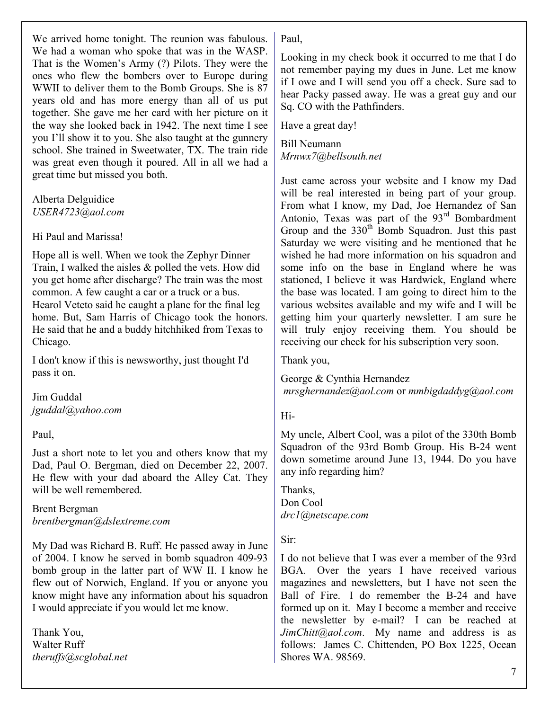We arrived home tonight. The reunion was fabulous. We had a woman who spoke that was in the WASP. That is the Women's Army (?) Pilots. They were the ones who flew the bombers over to Europe during WWII to deliver them to the Bomb Groups. She is 87 years old and has more energy than all of us put together. She gave me her card with her picture on it the way she looked back in 1942. The next time I see you I'll show it to you. She also taught at the gunnery school. She trained in Sweetwater, TX. The train ride was great even though it poured. All in all we had a great time but missed you both.

## Alberta Delguidice *USER4723@aol.com*

## Hi Paul and Marissa!

Hope all is well. When we took the Zephyr Dinner Train, I walked the aisles & polled the vets. How did you get home after discharge? The train was the most common. A few caught a car or a truck or a bus. Hearol Veteto said he caught a plane for the final leg home. But, Sam Harris of Chicago took the honors. He said that he and a buddy hitchhiked from Texas to Chicago.

I don't know if this is newsworthy, just thought I'd pass it on.

Jim Guddal *jguddal@yahoo.com* 

Paul,

Just a short note to let you and others know that my Dad, Paul O. Bergman, died on December 22, 2007. He flew with your dad aboard the Alley Cat. They will be well remembered.

Brent Bergman *brentbergman@dslextreme.com* 

My Dad was Richard B. Ruff. He passed away in June of 2004. I know he served in bomb squadron 409-93 bomb group in the latter part of WW II. I know he flew out of Norwich, England. If you or anyone you know might have any information about his squadron I would appreciate if you would let me know.

Thank You, Walter Ruff *theruffs@scglobal.net*  Paul,

Looking in my check book it occurred to me that I do not remember paying my dues in June. Let me know if I owe and I will send you off a check. Sure sad to hear Packy passed away. He was a great guy and our Sq. CO with the Pathfinders.

Have a great day!

Bill Neumann *Mrnwx7@bellsouth.net* 

Just came across your website and I know my Dad will be real interested in being part of your group. From what I know, my Dad, Joe Hernandez of San Antonio, Texas was part of the 93<sup>rd</sup> Bombardment Group and the 330<sup>th</sup> Bomb Squadron. Just this past Saturday we were visiting and he mentioned that he wished he had more information on his squadron and some info on the base in England where he was stationed, I believe it was Hardwick, England where the base was located. I am going to direct him to the various websites available and my wife and I will be getting him your quarterly newsletter. I am sure he will truly enjoy receiving them. You should be receiving our check for his subscription very soon.

Thank you,

George & Cynthia Hernandez *mrsghernandez@aol.com* or *mmbigdaddyg@aol.com*

## Hi-

My uncle, Albert Cool, was a pilot of the 330th Bomb Squadron of the 93rd Bomb Group. His B-24 went down sometime around June 13, 1944. Do you have any info regarding him?

Thanks, Don Cool *drc1@netscape.com* 

Sir:

I do not believe that I was ever a member of the 93rd BGA. Over the years I have received various magazines and newsletters, but I have not seen the Ball of Fire. I do remember the B-24 and have formed up on it. May I become a member and receive the newsletter by e-mail? I can be reached at *JimChitt@aol.com*. My name and address is as follows: James C. Chittenden, PO Box 1225, Ocean Shores WA. 98569.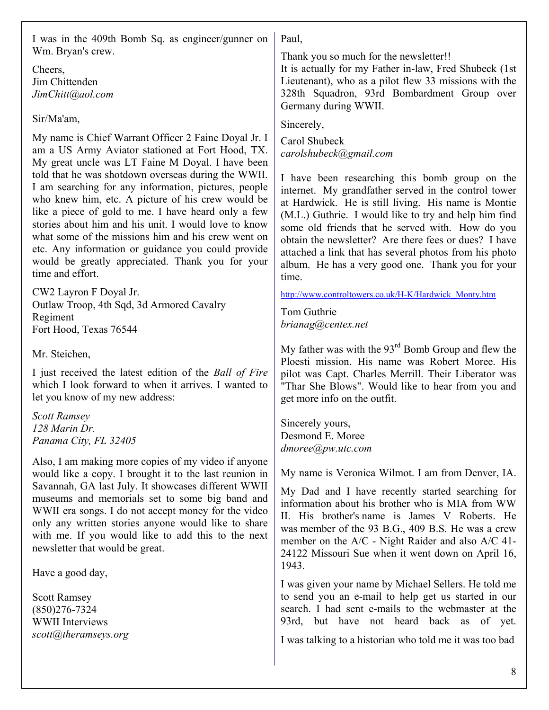I was in the 409th Bomb Sq. as engineer/gunner on Wm. Bryan's crew. Cheers, Jim Chittenden *JimChitt@aol.com*  Sir/Ma'am, My name is Chief Warrant Officer 2 Faine Doyal Jr. I am a US Army Aviator stationed at Fort Hood, TX. My great uncle was LT Faine M Doyal. I have been told that he was shotdown overseas during the WWII. I am searching for any information, pictures, people who knew him, etc. A picture of his crew would be like a piece of gold to me. I have heard only a few stories about him and his unit. I would love to know what some of the missions him and his crew went on etc. Any information or guidance you could provide would be greatly appreciated. Thank you for your time and effort. CW2 Layron F Doyal Jr. Outlaw Troop, 4th Sqd, 3d Armored Cavalry Regiment Fort Hood, Texas 76544 Mr. Steichen, I just received the latest edition of the *Ball of Fire*  which I look forward to when it arrives. I wanted to let you know of my new address: *Scott Ramsey 128 Marin Dr. Panama City, FL 32405*  Also, I am making more copies of my video if anyone would like a copy. I brought it to the last reunion in Savannah, GA last July. It showcases different WWII museums and memorials set to some big band and WWII era songs. I do not accept money for the video only any written stories anyone would like to share with me. If you would like to add this to the next newsletter that would be great. Have a good day, Scott Ramsey (850)276-7324 WWII Interviews *scott@theramseys.org*  Paul, Thank you so much for the newsletter!! It is actually for my Father in-law, Fred Shubeck (1st Lieutenant), who as a pilot flew 33 missions with the 328th Squadron, 93rd Bombardment Group over Germany during WWII. Sincerely, Carol Shubeck *carolshubeck@gmail.com*  I have been researching this bomb group on the internet. My grandfather served in the control tower at Hardwick. He is still living. His name is Montie (M.L.) Guthrie. I would like to try and help him find some old friends that he served with. How do you obtain the newsletter? Are there fees or dues? I have attached a link that has several photos from his photo album. He has a very good one. Thank you for your time. http://www.controltowers.co.uk/H-K/Hardwick\_Monty.htm Tom Guthrie *brianag@centex.net*  My father was with the  $93<sup>rd</sup>$  Bomb Group and flew the Ploesti mission. His name was Robert Moree. His pilot was Capt. Charles Merrill. Their Liberator was "Thar She Blows". Would like to hear from you and get more info on the outfit. Sincerely yours, Desmond E. Moree *dmoree@pw.utc.com*  My name is Veronica Wilmot. I am from Denver, IA. My Dad and I have recently started searching for information about his brother who is MIA from WW II. His brother's name is James V Roberts. He was member of the 93 B.G., 409 B.S. He was a crew member on the A/C - Night Raider and also A/C 41- 24122 Missouri Sue when it went down on April 16, 1943. I was given your name by Michael Sellers. He told me to send you an e-mail to help get us started in our search. I had sent e-mails to the webmaster at the 93rd, but have not heard back as of yet. I was talking to a historian who told me it was too bad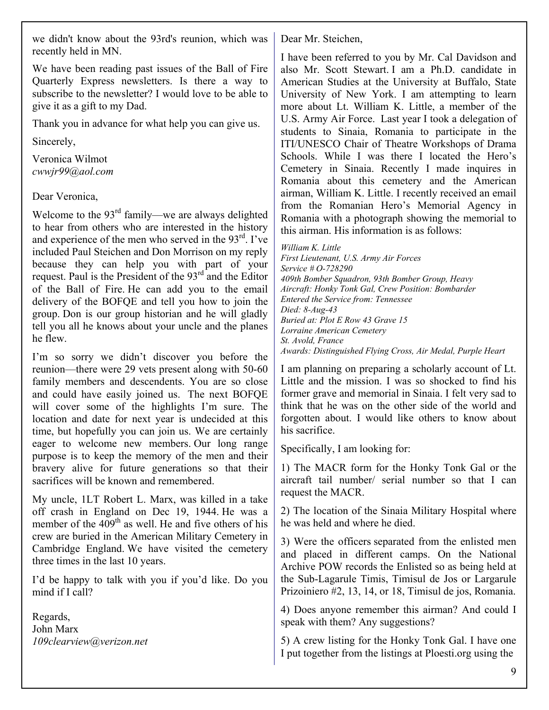we didn't know about the 93rd's reunion, which was recently held in MN.

We have been reading past issues of the Ball of Fire Quarterly Express newsletters. Is there a way to subscribe to the newsletter? I would love to be able to give it as a gift to my Dad.

Thank you in advance for what help you can give us.

Sincerely,

Veronica Wilmot *cwwjr99@aol.com* 

Dear Veronica,

Welcome to the 93<sup>rd</sup> family—we are always delighted to hear from others who are interested in the history and experience of the men who served in the  $93<sup>rd</sup>$ . I've included Paul Steichen and Don Morrison on my reply because they can help you with part of your request. Paul is the President of the 93<sup>rd</sup> and the Editor of the Ball of Fire. He can add you to the email delivery of the BOFQE and tell you how to join the group. Don is our group historian and he will gladly tell you all he knows about your uncle and the planes he flew.

I'm so sorry we didn't discover you before the reunion—there were 29 vets present along with 50-60 family members and descendents. You are so close and could have easily joined us. The next BOFQE will cover some of the highlights I'm sure. The location and date for next year is undecided at this time, but hopefully you can join us. We are certainly eager to welcome new members. Our long range purpose is to keep the memory of the men and their bravery alive for future generations so that their sacrifices will be known and remembered.

My uncle, 1LT Robert L. Marx, was killed in a take off crash in England on Dec 19, 1944. He was a member of the  $409<sup>th</sup>$  as well. He and five others of his crew are buried in the American Military Cemetery in Cambridge England. We have visited the cemetery three times in the last 10 years.

I'd be happy to talk with you if you'd like. Do you mind if I call?

Regards, John Marx *109clearview@verizon.net*  Dear Mr. Steichen,

I have been referred to you by Mr. Cal Davidson and also Mr. Scott Stewart. I am a Ph.D. candidate in American Studies at the University at Buffalo, State University of New York. I am attempting to learn more about Lt. William K. Little, a member of the U.S. Army Air Force. Last year I took a delegation of students to Sinaia, Romania to participate in the ITI/UNESCO Chair of Theatre Workshops of Drama Schools. While I was there I located the Hero's Cemetery in Sinaia. Recently I made inquires in Romania about this cemetery and the American airman, William K. Little. I recently received an email from the Romanian Hero's Memorial Agency in Romania with a photograph showing the memorial to this airman. His information is as follows:

*William K. Little First Lieutenant, U.S. Army Air Forces Service # O-728290 409th Bomber Squadron, 93th Bomber Group, Heavy Aircraft: Honky Tonk Gal, Crew Position: Bombarder Entered the Service from: Tennessee Died: 8-Aug-43 Buried at: Plot E Row 43 Grave 15 Lorraine American Cemetery St. Avold, France Awards: Distinguished Flying Cross, Air Medal, Purple Heart* 

I am planning on preparing a scholarly account of Lt. Little and the mission. I was so shocked to find his former grave and memorial in Sinaia. I felt very sad to think that he was on the other side of the world and forgotten about. I would like others to know about his sacrifice.

Specifically, I am looking for:

1) The MACR form for the Honky Tonk Gal or the aircraft tail number/ serial number so that I can request the MACR.

2) The location of the Sinaia Military Hospital where he was held and where he died.

3) Were the officers separated from the enlisted men and placed in different camps. On the National Archive POW records the Enlisted so as being held at the Sub-Lagarule Timis, Timisul de Jos or Largarule Prizoiniero #2, 13, 14, or 18, Timisul de jos, Romania.

4) Does anyone remember this airman? And could I speak with them? Any suggestions?

5) A crew listing for the Honky Tonk Gal. I have one I put together from the listings at Ploesti.org using the